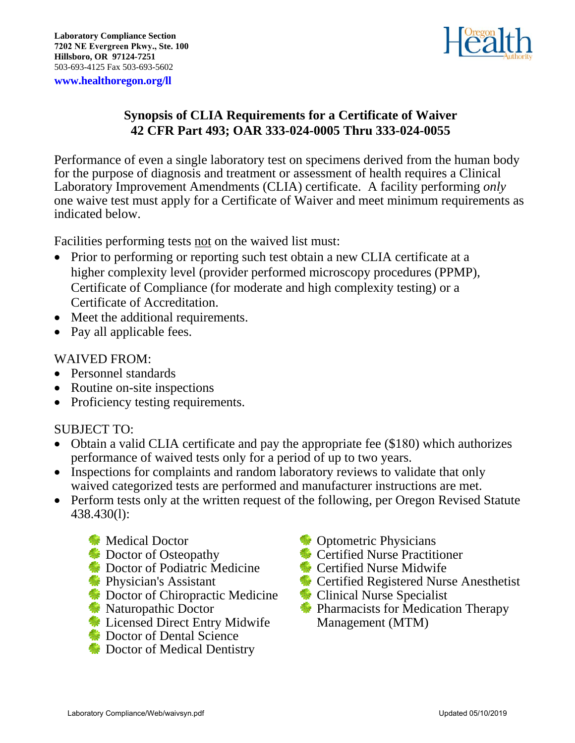

## **Synopsis of CLIA Requirements for a Certificate of Waiver 42 CFR Part 493; OAR 333-024-0005 Thru 333-024-0055**

Performance of even a single laboratory test on specimens derived from the human body for the purpose of diagnosis and treatment or assessment of health requires a Clinical Laboratory Improvement Amendments (CLIA) certificate. A facility performing *only* one waive test must apply for a Certificate of Waiver and meet minimum requirements as indicated below.

Facilities performing tests not on the waived list must:

- Prior to performing or reporting such test obtain a new CLIA certificate at a higher complexity level (provider performed microscopy procedures (PPMP), Certificate of Compliance (for moderate and high complexity testing) or a Certificate of Accreditation.
- Meet the additional requirements.
- Pay all applicable fees.

## WAIVED FROM:

- Personnel standards
- Routine on-site inspections
- Proficiency testing requirements.

## SUBJECT TO:

- Obtain a valid CLIA certificate and pay the appropriate fee (\$180) which authorizes performance of waived tests only for a period of up to two years.
- Inspections for complaints and random laboratory reviews to validate that only waived categorized tests are performed and manufacturer instructions are met.
- Perform tests only at the written request of the following, per Oregon Revised Statute 438.430(l):
	- **Medical Doctor**
	- **Doctor of Osteopathy**
	- Doctor of Podiatric Medicine
	- **Physician's Assistant**
	- **Example 2.5 Doctor of Chiropractic Medicine**
	- **Naturopathic Doctor**
	- **Example 2** Licensed Direct Entry Midwife
	- Doctor of Dental Science
	- **Example 2** Doctor of Medical Dentistry
- **C**optometric Physicians
- **Certified Nurse Practitioner**
- **Exercified Nurse Midwife**
- **Exercified Registered Nurse Anesthetist**
- **Clinical Nurse Specialist**
- **Pharmacists for Medication Therapy** Management (MTM)